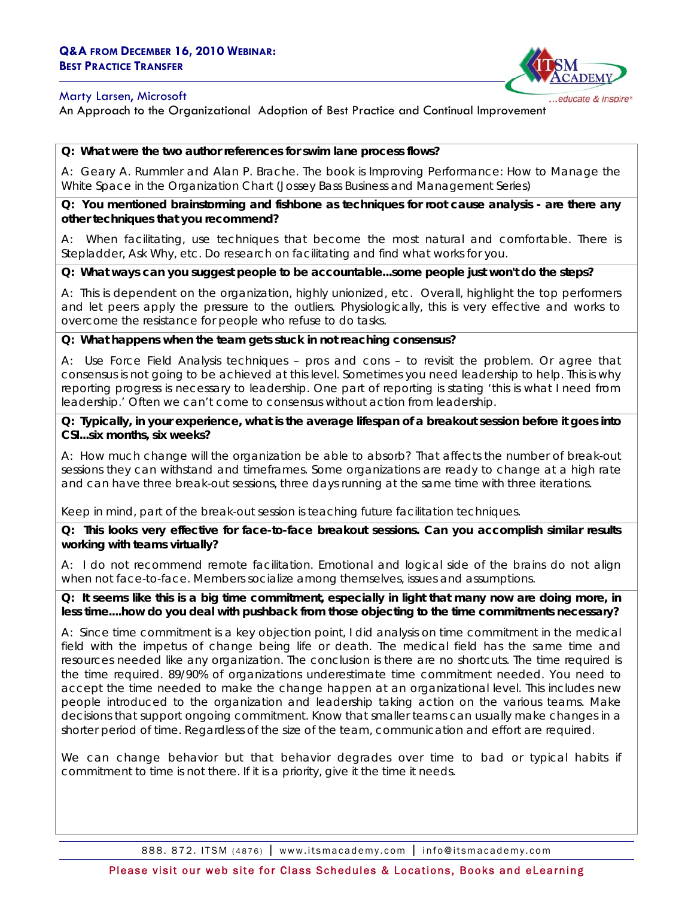#### Marty Larsen, Microsoft



## An Approach to the Organizational Adoption of Best Practice and Continual Improvement

#### **Q: What were the two author references for swim lane process flows?**

A: Geary A. Rummler and Alan P. Brache. The book is *Improving Performance: How to Manage the White Space in the Organization* Chart (Jossey Bass Business and Management Series)

**Q: You mentioned brainstorming and fishbone as techniques for root cause analysis - are there any other techniques that you recommend?** 

A: When facilitating, use techniques that become the most natural and comfortable. There is Stepladder, Ask Why, etc. Do research on facilitating and find what works for you.

#### **Q: What ways can you suggest people to be accountable...some people just won't do the steps?**

A: This is dependent on the organization, highly unionized, etc. Overall, highlight the top performers and let peers apply the pressure to the outliers. Physiologically, this is very effective and works to overcome the resistance for people who refuse to do tasks.

**Q: What happens when the team gets stuck in not reaching consensus?** 

A: Use Force Field Analysis techniques – pros and cons – to revisit the problem. Or agree that consensus is not going to be achieved at this level. Sometimes you need leadership to help. This is why reporting progress is necessary to leadership. One part of reporting is stating 'this is what I need from leadership.' Often we can't come to consensus without action from leadership.

**Q: Typically, in your experience, what is the average lifespan of a breakout session before it goes into CSI...six months, six weeks?** 

A: How much change will the organization be able to absorb? That affects the number of break-out sessions they can withstand and timeframes. Some organizations are ready to change at a high rate and can have three break-out sessions, three days running at the same time with three iterations.

Keep in mind, part of the break-out session is teaching future facilitation techniques.

**Q: This looks very effective for face-to-face breakout sessions. Can you accomplish similar results working with teams virtually?** 

A: I do not recommend remote facilitation. Emotional and logical side of the brains do not align when not face-to-face. Members socialize among themselves, issues and assumptions.

**Q: It seems like this is a big time commitment, especially in light that many now are doing more, in less time....how do you deal with pushback from those objecting to the time commitments necessary?** 

A: Since time commitment is a key objection point, I did analysis on time commitment in the medical field with the impetus of change being life or death. The medical field has the same time and resources needed like any organization. The conclusion is there are no shortcuts. The time required is the time required. 89/90% of organizations underestimate time commitment needed. You need to accept the time needed to make the change happen at an organizational level. This includes new people introduced to the organization and leadership taking action on the various teams. Make decisions that support ongoing commitment. Know that smaller teams can usually make changes in a shorter period of time. Regardless of the size of the team, communication and effort are required.

We can change behavior but that behavior degrades over time to bad or typical habits if commitment to time is not there. If it is a priority, give it the time it needs.

888. 872. ITSM (4876) | www.itsmacademy.com | info@itsmacademy.com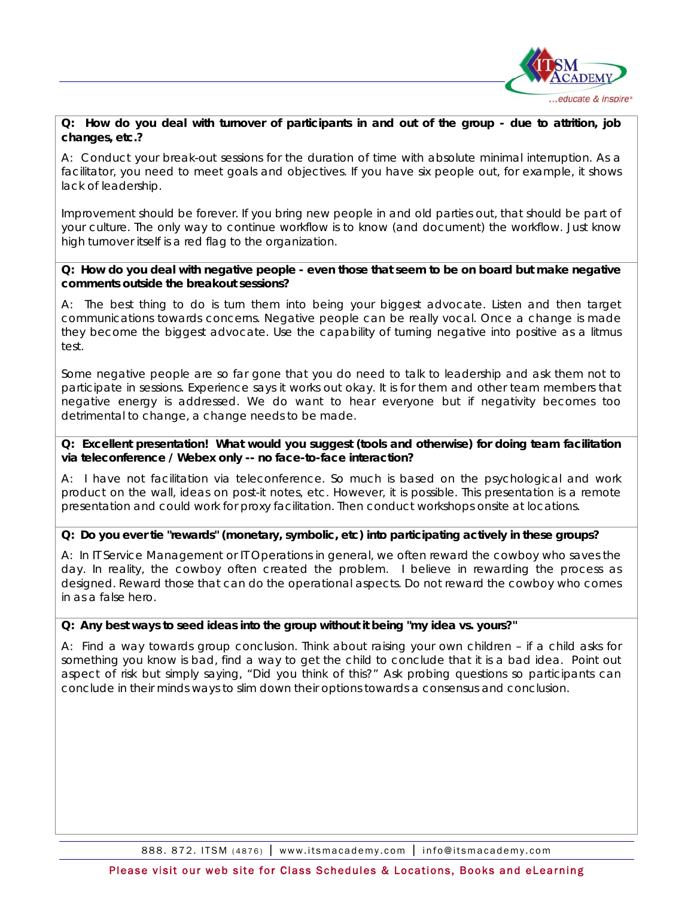

#### **Q: How do you deal with turnover of participants in and out of the group - due to attrition, job changes, etc.?**

A: Conduct your break-out sessions for the duration of time with absolute minimal interruption. As a facilitator, you need to meet goals and objectives. If you have six people out, for example, it shows lack of leadership.

Improvement should be forever. If you bring new people in and old parties out, that should be part of your culture. The only way to continue workflow is to know (and document) the workflow. Just know high turnover itself is a red flag to the organization.

#### **Q: How do you deal with negative people - even those that seem to be on board but make negative comments outside the breakout sessions?**

A: The best thing to do is turn them into being your biggest advocate. Listen and then target communications towards concerns. Negative people can be really vocal. Once a change is made they become the biggest advocate. Use the capability of turning negative into positive as a litmus test.

Some negative people are so far gone that you do need to talk to leadership and ask them not to participate in sessions. Experience says it works out okay. It is for them and other team members that negative energy is addressed. We do want to hear everyone but if negativity becomes too detrimental to change, a change needs to be made.

### **Q: Excellent presentation! What would you suggest (tools and otherwise) for doing team facilitation via teleconference / Webex only -- no face-to-face interaction?**

A: I have not facilitation via teleconference. So much is based on the psychological and work product on the wall, ideas on post-it notes, etc. However, it is possible. This presentation is a remote presentation and could work for proxy facilitation. Then conduct workshops onsite at locations.

## **Q: Do you ever tie "rewards" (monetary, symbolic, etc) into participating actively in these groups?**

A: In IT Service Management or IT Operations in general, we often reward the cowboy who saves the day. In reality, the cowboy often created the problem. I believe in rewarding the process as designed. Reward those that can do the operational aspects. Do not reward the cowboy who comes in as a false hero.

## **Q: Any best ways to seed ideas into the group without it being "my idea vs. yours?"**

A: Find a way towards group conclusion. Think about raising your own children – if a child asks for something you know is bad, find a way to get the child to conclude that it is a bad idea. Point out aspect of risk but simply saying, "Did you think of this?" Ask probing questions so participants can conclude in their minds ways to slim down their options towards a consensus and conclusion.